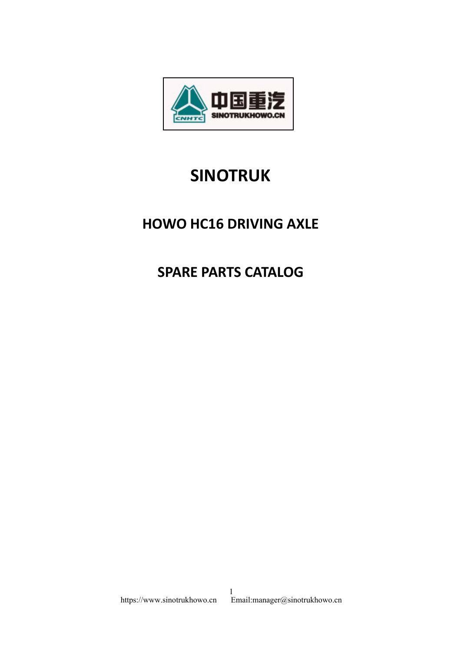

## **SINOTRUK**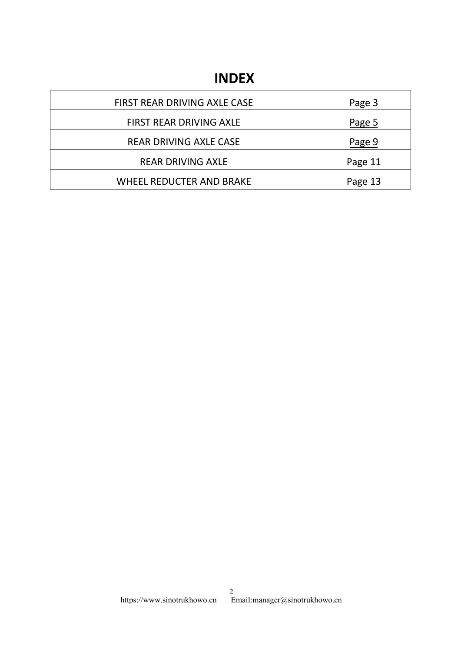## **INDEX**

| <b>INDEX</b>                  |         |
|-------------------------------|---------|
| FIRST REAR DRIVING AXLE CASE  | Page 3  |
| FIRST REAR DRIVING AXLE       | Page 5  |
| <b>REAR DRIVING AXLE CASE</b> | Page 9  |
|                               | Page 11 |
| <b>REAR DRIVING AXLE</b>      |         |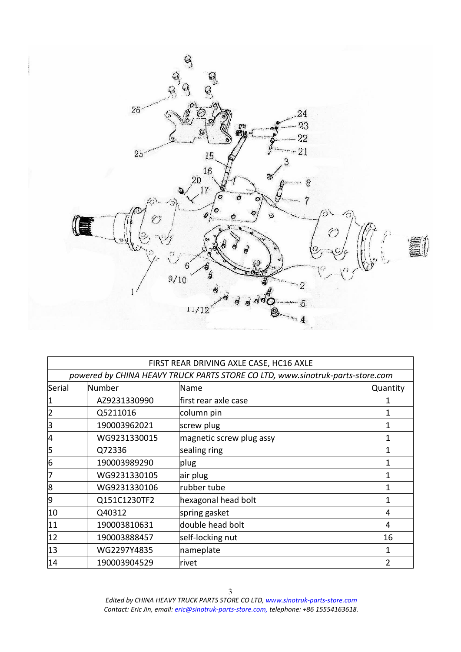<span id="page-2-0"></span>

|              |              | FIRST REAR DRIVING AXLE CASE, HC16 AXLE                                       |               |
|--------------|--------------|-------------------------------------------------------------------------------|---------------|
|              |              | powered by CHINA HEAVY TRUCK PARTS STORE CO LTD, www.sinotruk-parts-store.com |               |
| Serial       | Number       | Name                                                                          | Quantity      |
|              | AZ9231330990 | first rear axle case                                                          |               |
| 2            | Q5211016     | column pin                                                                    |               |
| 3            | 190003962021 | screw plug                                                                    | 1             |
| 4            | WG9231330015 | magnetic screw plug assy                                                      | 1             |
| 5            | Q72336       | sealing ring                                                                  | 1             |
| 6            | 190003989290 | plug                                                                          | 1             |
| 7            | WG9231330105 | air plug                                                                      |               |
| 8            | WG9231330106 | rubber tube                                                                   |               |
| 9            | Q151C1230TF2 | hexagonal head bolt                                                           | 1             |
| 10           | Q40312       | spring gasket                                                                 | 4             |
| 11           | 190003810631 | double head bolt                                                              | 4             |
| $ 12\rangle$ | 190003888457 | self-locking nut                                                              | 16            |
| $ 13\rangle$ | WG2297Y4835  | nameplate                                                                     | 1             |
| 14           | 190003904529 | lrivet                                                                        | $\mathcal{P}$ |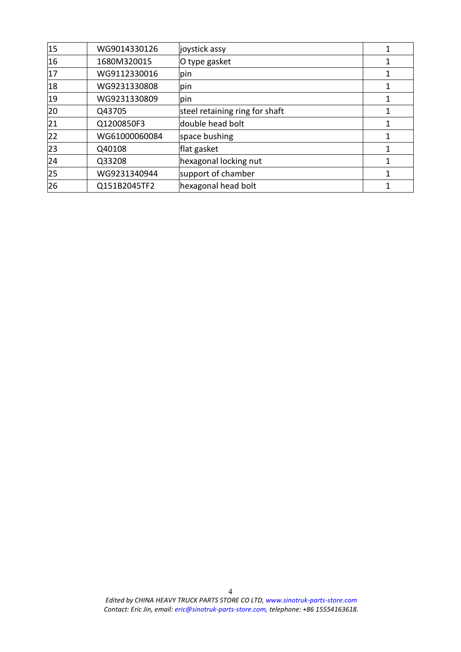| 15           | WG9014330126  | joystick assy                  |  |
|--------------|---------------|--------------------------------|--|
| 16           | 1680M320015   | O type gasket                  |  |
| 17           | WG9112330016  | pin                            |  |
| 18           | WG9231330808  | pin                            |  |
| 19           | WG9231330809  | pin                            |  |
| 20           | Q43705        | steel retaining ring for shaft |  |
| 21           | Q1200850F3    | double head bolt               |  |
| 22           | WG61000060084 | space bushing                  |  |
| $ 23\rangle$ | Q40108        | flat gasket                    |  |
| $ 24\rangle$ | Q33208        | hexagonal locking nut          |  |
| 25           | WG9231340944  | support of chamber             |  |
| 26           | Q151B2045TF2  | hexagonal head bolt            |  |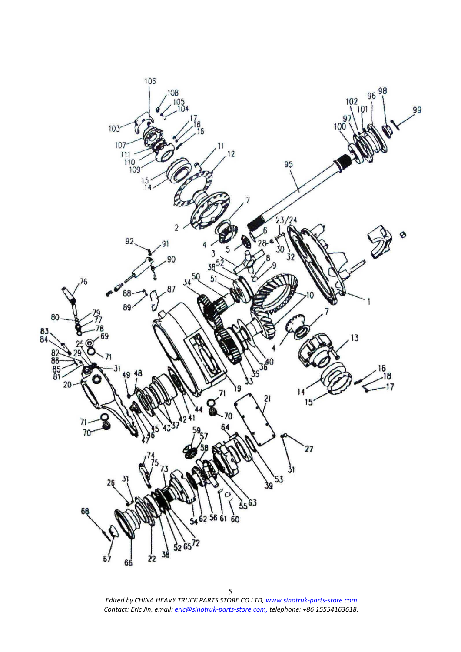<span id="page-4-0"></span>

*Edited byCHINA HEAVY TRUCK PARTS STORE CO LTD, www.sinotruk-parts-store.com Contact: Eric Jin, email: eric@sinotruk-parts-store.com, telephone: +86 15554163618.* <sup>5</sup>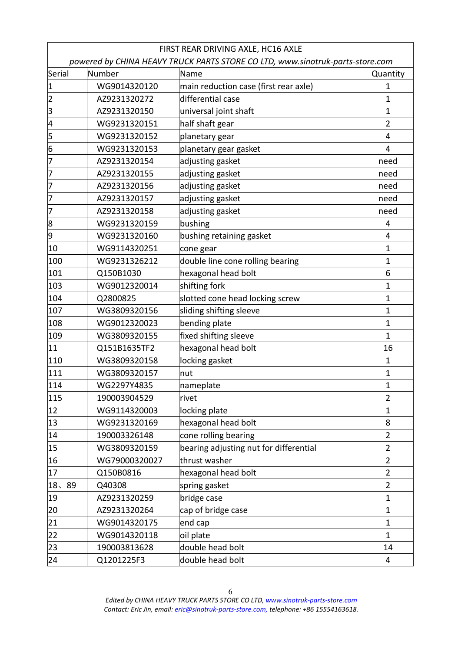|                 |                                                                               | FIRST REAR DRIVING AXLE, HC16 AXLE     |                |
|-----------------|-------------------------------------------------------------------------------|----------------------------------------|----------------|
|                 | powered by CHINA HEAVY TRUCK PARTS STORE CO LTD, www.sinotruk-parts-store.com |                                        |                |
| Serial          | Number                                                                        | Name                                   | Quantity       |
| $\vert 1 \vert$ | WG9014320120                                                                  | main reduction case (first rear axle)  | 1              |
| 2               | AZ9231320272                                                                  | differential case                      | 1              |
| 3               | AZ9231320150                                                                  | universal joint shaft                  | $\mathbf 1$    |
| 4               | WG9231320151                                                                  | half shaft gear                        | $\overline{2}$ |
| 5               | WG9231320152                                                                  | planetary gear                         | 4              |
| 6               | WG9231320153                                                                  | planetary gear gasket                  | 4              |
| 7               | AZ9231320154                                                                  | adjusting gasket                       | need           |
| 7               | AZ9231320155                                                                  | adjusting gasket                       | need           |
| 17              | AZ9231320156                                                                  | adjusting gasket                       | need           |
| 17              | AZ9231320157                                                                  | adjusting gasket                       | need           |
| 7               | AZ9231320158                                                                  | adjusting gasket                       | need           |
| 8               | WG9231320159                                                                  | bushing                                | 4              |
| 9               | WG9231320160                                                                  | bushing retaining gasket               | 4              |
| 10              | WG9114320251                                                                  | cone gear                              | $\mathbf{1}$   |
| 100             | WG9231326212                                                                  | double line cone rolling bearing       | 1              |
| 101             | Q150B1030                                                                     | hexagonal head bolt                    | 6              |
| 103             | WG9012320014                                                                  | shifting fork                          | 1              |
| 104             | Q2800825                                                                      | slotted cone head locking screw        | 1              |
| 107             | WG3809320156                                                                  | sliding shifting sleeve                | 1              |
| 108             | WG9012320023                                                                  | bending plate                          | $\mathbf 1$    |
| 109             | WG3809320155                                                                  | fixed shifting sleeve                  | 1              |
| $ 11\rangle$    | Q151B1635TF2                                                                  | hexagonal head bolt                    | 16             |
| $ 110\rangle$   | WG3809320158                                                                  | locking gasket                         | $\mathbf{1}$   |
| 111             | WG3809320157                                                                  | nut                                    | $\mathbf{1}$   |
| 114             | WG2297Y4835                                                                   | nameplate                              | 1              |
| 115             | 190003904529                                                                  | rivet                                  | $\overline{2}$ |
| $ 12\rangle$    | WG9114320003                                                                  | locking plate                          | $\mathbf 1$    |
| 13              | WG9231320169                                                                  | hexagonal head bolt                    | 8              |
| 14              | 190003326148                                                                  | cone rolling bearing                   | $\overline{2}$ |
| 15              | WG3809320159                                                                  | bearing adjusting nut for differential | $\overline{2}$ |
| 16              | WG79000320027                                                                 | thrust washer                          | $\overline{2}$ |
| 17              | Q150B0816                                                                     | hexagonal head bolt                    | $\overline{2}$ |
| 18、89           | Q40308                                                                        | spring gasket                          | $\overline{2}$ |
| 19              | AZ9231320259                                                                  | bridge case                            | $\mathbf{1}$   |
| 20              | AZ9231320264                                                                  | cap of bridge case                     | $\mathbf 1$    |
| 21              | WG9014320175                                                                  | end cap                                | 1              |
| 22              | WG9014320118                                                                  | oil plate                              | $\mathbf{1}$   |
| 23              | 190003813628                                                                  | double head bolt                       | 14             |
| $ 24\rangle$    | Q1201225F3                                                                    | double head bolt                       | 4              |
|                 |                                                                               |                                        |                |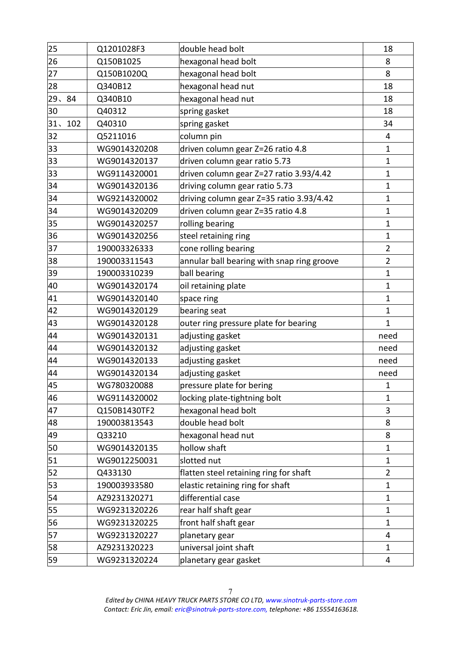| 25      | Q1201028F3   | double head bolt                           | 18             |
|---------|--------------|--------------------------------------------|----------------|
| 26      | Q150B1025    | hexagonal head bolt                        | 8              |
| 27      | Q150B1020Q   | hexagonal head bolt                        | 8              |
| 28      | Q340B12      | hexagonal head nut                         | 18             |
| 29、84   | Q340B10      | hexagonal head nut                         | 18             |
| 30      | Q40312       | spring gasket                              | 18             |
| 31, 102 | Q40310       | spring gasket                              | 34             |
| 32      | Q5211016     | column pin                                 | 4              |
| 33      | WG9014320208 | driven column gear Z=26 ratio 4.8          | 1              |
| 33      | WG9014320137 | driven column gear ratio 5.73              | 1              |
| 33      | WG9114320001 | driven column gear Z=27 ratio 3.93/4.42    | $\mathbf{1}$   |
| 34      | WG9014320136 | driving column gear ratio 5.73             | 1              |
| 34      | WG9214320002 | driving column gear Z=35 ratio 3.93/4.42   | 1              |
| 34      | WG9014320209 | driven column gear Z=35 ratio 4.8          | $\mathbf{1}$   |
| 35      | WG9014320257 | rolling bearing                            | 1              |
| 36      | WG9014320256 | steel retaining ring                       | 1              |
| 37      | 190003326333 | cone rolling bearing                       | $\overline{2}$ |
| 38      | 190003311543 | annular ball bearing with snap ring groove | $\overline{2}$ |
| 39      | 190003310239 | ball bearing                               | 1              |
| 40      | WG9014320174 | oil retaining plate                        | 1              |
| 41      | WG9014320140 | space ring                                 | 1              |
| 42      | WG9014320129 | bearing seat                               | 1              |
| 43      | WG9014320128 | outer ring pressure plate for bearing      | 1              |
| 44      | WG9014320131 | adjusting gasket                           | need           |
| 44      | WG9014320132 | adjusting gasket                           | need           |
| 44      | WG9014320133 | adjusting gasket                           | need           |
| 44      | WG9014320134 | adjusting gasket                           | need           |
| 45      | WG780320088  | pressure plate for bering                  | 1              |
| 46      | WG9114320002 | locking plate-tightning bolt               | 1              |
| 47      | Q150B1430TF2 | hexagonal head bolt                        | 3              |
| 48      | 190003813543 | double head bolt                           | 8              |
| 49      | Q33210       | hexagonal head nut                         | 8              |
| 50      | WG9014320135 | hollow shaft                               | 1              |
| 51      | WG9012250031 | slotted nut                                | 1              |
| 52      | Q433130      | flatten steel retaining ring for shaft     | $\overline{2}$ |
| 53      | 190003933580 | elastic retaining ring for shaft           | 1              |
| 54      | AZ9231320271 | differential case                          | 1              |
| 55      | WG9231320226 | rear half shaft gear                       | 1              |
| 56      | WG9231320225 | front half shaft gear                      | 1              |
| 57      | WG9231320227 | planetary gear                             | 4              |
| 58      | AZ9231320223 | universal joint shaft                      | 1              |
| 59      | WG9231320224 | planetary gear gasket                      | 4              |
|         |              |                                            |                |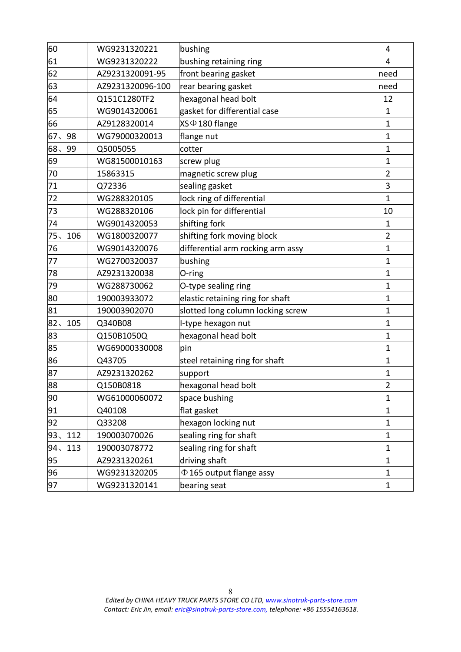| 60        | WG9231320221     | bushing                           | 4              |
|-----------|------------------|-----------------------------------|----------------|
| 61        | WG9231320222     | bushing retaining ring            | 4              |
| 62        | AZ9231320091-95  | front bearing gasket              | need           |
| 63        | AZ9231320096-100 | rear bearing gasket               | need           |
| 64        | Q151C1280TF2     | hexagonal head bolt               | 12             |
| 65        | WG9014320061     | gasket for differential case      | 1              |
| 66        | AZ9128320014     | XS $\Phi$ 180 flange              | 1              |
| 67.<br>98 | WG79000320013    | flange nut                        | 1              |
| 68, 99    | Q5005055         | cotter                            | 1              |
| 69        | WG81500010163    | screw plug                        | 1              |
| 70        | 15863315         | magnetic screw plug               | $\overline{2}$ |
| 71        | Q72336           | sealing gasket                    | 3              |
| 72        | WG288320105      | lock ring of differential         | 1              |
| 73        | WG288320106      | lock pin for differential         | 10             |
| 74        | WG9014320053     | shifting fork                     | 1              |
| 75、106    | WG1800320077     | shifting fork moving block        | 2              |
| 76        | WG9014320076     | differential arm rocking arm assy | 1              |
| 77        | WG2700320037     | bushing                           | 1              |
| 78        | AZ9231320038     | O-ring                            | 1              |
| 79        | WG288730062      | O-type sealing ring               | 1              |
| 80        | 190003933072     | elastic retaining ring for shaft  | 1              |
| 81        | 190003902070     | slotted long column locking screw | 1              |
| 82、105    | Q340B08          | I-type hexagon nut                | 1              |
| 83        | Q150B1050Q       | hexagonal head bolt               | 1              |
| 85        | WG69000330008    | pin                               | 1              |
| 86        | Q43705           | steel retaining ring for shaft    | 1              |
| 87        | AZ9231320262     | support                           | 1              |
| 88        | Q150B0818        | hexagonal head bolt               | 2              |
| 90        | WG61000060072    | space bushing                     | $\mathbf{1}$   |
| 91        | Q40108           | flat gasket                       | 1              |
| 92        | Q33208           | hexagon locking nut               | 1              |
| 93, 112   | 190003070026     | sealing ring for shaft            | 1              |
| 94、113    | 190003078772     | sealing ring for shaft            | 1              |
| 95        | AZ9231320261     | driving shaft                     | 1              |
| 96        | WG9231320205     | $\Phi$ 165 output flange assy     | 1              |
| 97        | WG9231320141     | bearing seat                      | $\mathbf{1}$   |
|           |                  |                                   |                |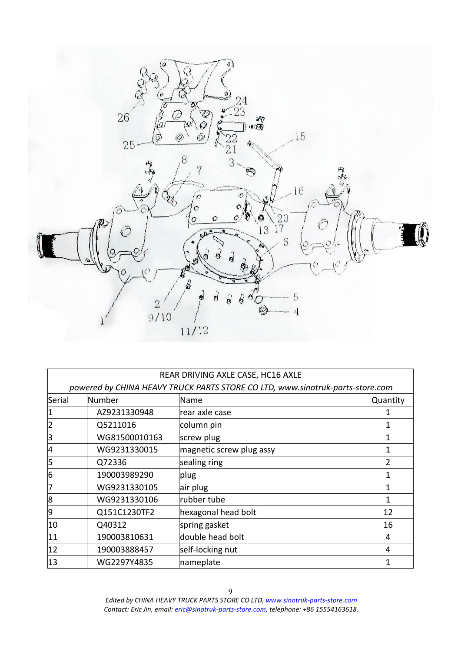<span id="page-8-0"></span>

|              |               | REAR DRIVING AXLE CASE, HC16 AXLE                                             |               |
|--------------|---------------|-------------------------------------------------------------------------------|---------------|
|              |               | powered by CHINA HEAVY TRUCK PARTS STORE CO LTD, www.sinotruk-parts-store.com |               |
| Serial       | Number        | Name                                                                          | Quantity      |
| 1            | AZ9231330948  | rear axle case                                                                |               |
| 2            | Q5211016      | column pin                                                                    |               |
| 3            | WG81500010163 | screw plug                                                                    |               |
| 4            | WG9231330015  | magnetic screw plug assy                                                      |               |
| 5            | Q72336        | sealing ring                                                                  | $\mathfrak z$ |
| 6            | 190003989290  | $ $ plug                                                                      |               |
| 7            | WG9231330105  | air plug                                                                      |               |
| 8            | WG9231330106  | rubber tube                                                                   | 1             |
| 9            | Q151C1230TF2  | hexagonal head bolt                                                           | 12            |
| 10           | Q40312        | spring gasket                                                                 | 16            |
| 11           | 190003810631  | double head bolt                                                              | 4             |
| $ 12\rangle$ | 190003888457  | self-locking nut                                                              | 4             |
| $ 13\rangle$ | WG2297Y4835   | nameplate                                                                     |               |

*Edited byCHINA HEAVY TRUCK PARTS STORE CO LTD, www.sinotruk-parts-store.com Contact: Eric Jin, email: eric@sinotruk-parts-store.com, telephone: +86 15554163618.* <sup>9</sup>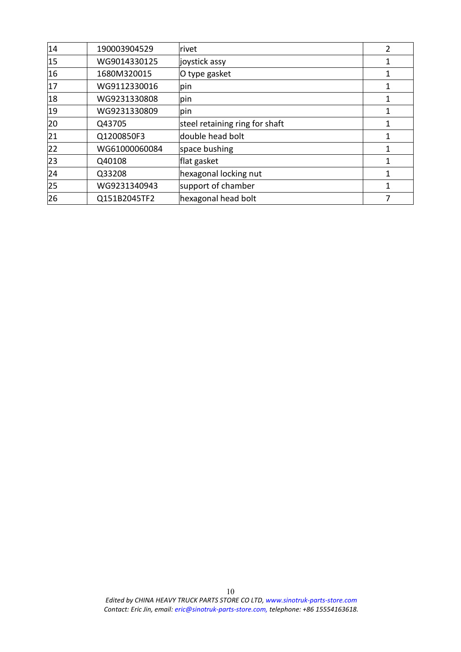| 14           | 190003904529  | rivet                          | 2 |
|--------------|---------------|--------------------------------|---|
| 15           | WG9014330125  | joystick assy                  |   |
| 16           | 1680M320015   | O type gasket                  |   |
| 17           | WG9112330016  | pin                            |   |
| 18           | WG9231330808  | pin                            |   |
| 19           | WG9231330809  | pin                            |   |
| 20           | Q43705        | steel retaining ring for shaft |   |
| 21           | Q1200850F3    | double head bolt               |   |
| 22           | WG61000060084 | space bushing                  |   |
| $ 23\rangle$ | Q40108        | flat gasket                    |   |
| 24           | Q33208        | hexagonal locking nut          |   |
| 25           | WG9231340943  | support of chamber             | 1 |
| 26           | Q151B2045TF2  | hexagonal head bolt            |   |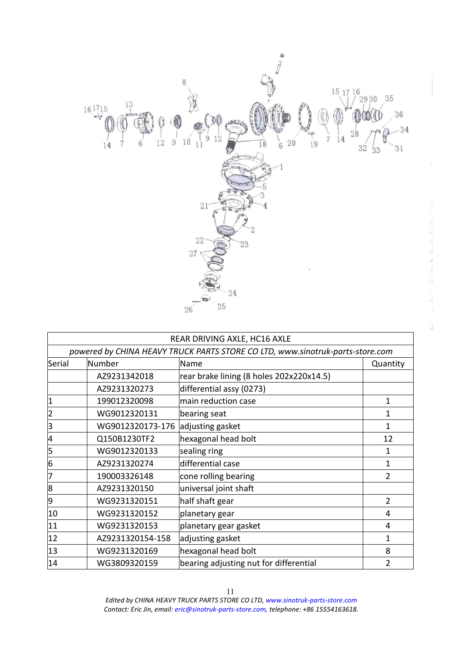

the original control of the control of the solution

i<br>M

÷.

a.<br>Na

|              |                  | REAR DRIVING AXLE, HC16 AXLE                                                  |                |
|--------------|------------------|-------------------------------------------------------------------------------|----------------|
|              |                  | powered by CHINA HEAVY TRUCK PARTS STORE CO LTD, www.sinotruk-parts-store.com |                |
| Serial       | Number           | Name                                                                          | Quantity       |
|              | AZ9231342018     | rear brake lining (8 holes 202x220x14.5)                                      |                |
|              | AZ9231320273     | differential assy (0273)                                                      |                |
| 1            | 199012320098     | main reduction case                                                           | 1              |
| 2            | WG9012320131     | bearing seat                                                                  | 1              |
| 3            | WG9012320173-176 | adjusting gasket                                                              | 1              |
| 4            | Q150B1230TF2     | hexagonal head bolt                                                           | 12             |
| 5            | WG9012320133     | sealing ring                                                                  |                |
| 6            | AZ9231320274     | differential case                                                             | 1              |
| 17           | 190003326148     | cone rolling bearing                                                          | $\overline{2}$ |
| 8            | AZ9231320150     | universal joint shaft                                                         |                |
| 9            | WG9231320151     | half shaft gear                                                               | 2              |
| 10           | WG9231320152     | planetary gear                                                                | 4              |
| 11           | WG9231320153     | planetary gear gasket                                                         | 4              |
| $ 12\rangle$ | AZ9231320154-158 | adjusting gasket                                                              | 1              |
| $ 13\rangle$ | WG9231320169     | hexagonal head bolt                                                           | 8              |
| 14           | WG3809320159     | bearing adjusting nut for differential                                        | 2              |

*Edited byCHINA HEAVY TRUCK PARTS STORE CO LTD, www.sinotruk-parts-store.com Contact: Eric Jin, email: eric@sinotruk-parts-store.com, telephone: +86 15554163618.* <sup>11</sup>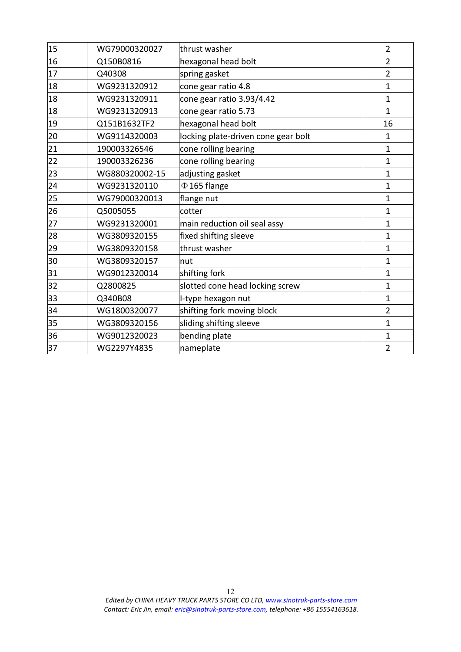| $ 15\rangle$ | WG79000320027  | thrust washer                       | $\overline{2}$ |
|--------------|----------------|-------------------------------------|----------------|
| 16           | Q150B0816      | hexagonal head bolt                 | $\overline{2}$ |
| 17           | Q40308         | spring gasket                       | $\overline{2}$ |
| 18           | WG9231320912   | cone gear ratio 4.8                 | $\mathbf{1}$   |
| 18           | WG9231320911   | cone gear ratio 3.93/4.42           | $\mathbf{1}$   |
| 18           | WG9231320913   | cone gear ratio 5.73                | 1              |
| 19           | Q151B1632TF2   | hexagonal head bolt                 | 16             |
| 20           | WG9114320003   | locking plate-driven cone gear bolt | 1              |
| 21           | 190003326546   | cone rolling bearing                | 1              |
| 22           | 190003326236   | cone rolling bearing                | 1              |
| 23           | WG880320002-15 | adjusting gasket                    | $\mathbf{1}$   |
| 24           | WG9231320110   | $\Phi$ 165 flange                   | $\mathbf{1}$   |
| 25           | WG79000320013  | flange nut                          | $\mathbf{1}$   |
| 26           | Q5005055       | cotter                              | $\mathbf{1}$   |
| 27           | WG9231320001   | main reduction oil seal assy        | $\mathbf{1}$   |
| 28           | WG3809320155   | fixed shifting sleeve               | $\mathbf{1}$   |
| 29           | WG3809320158   | thrust washer                       | $\mathbf{1}$   |
| 30           | WG3809320157   | nut                                 | $\mathbf{1}$   |
| 31           | WG9012320014   | shifting fork                       | $\mathbf{1}$   |
| 32           | Q2800825       | slotted cone head locking screw     | 1              |
| 33           | Q340B08        | I-type hexagon nut                  | $\mathbf{1}$   |
| 34           | WG1800320077   | shifting fork moving block          | $\overline{2}$ |
| 35           | WG3809320156   | sliding shifting sleeve             | $\mathbf{1}$   |
| 36           | WG9012320023   | bending plate                       | $\mathbf{1}$   |
| 37           | WG2297Y4835    | nameplate                           | $\overline{2}$ |
|              |                |                                     |                |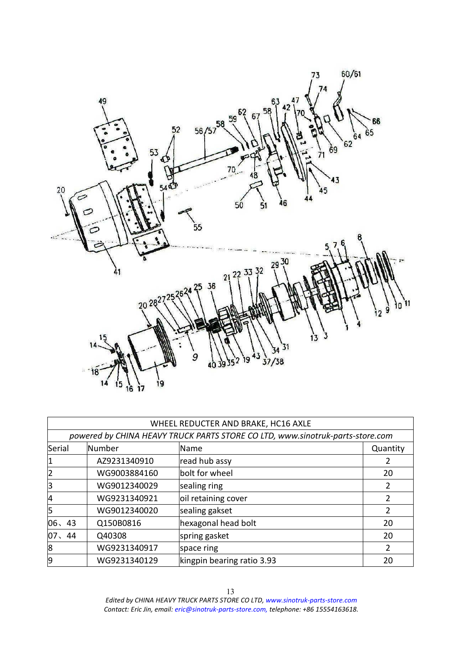

|        |               | WHEEL REDUCTER AND BRAKE, HC16 AXLE                                           |          |
|--------|---------------|-------------------------------------------------------------------------------|----------|
|        |               | powered by CHINA HEAVY TRUCK PARTS STORE CO LTD, www.sinotruk-parts-store.com |          |
| Serial | <b>Number</b> | Name.                                                                         | Quantity |
|        | AZ9231340910  | read hub assy                                                                 |          |
| 2      | WG9003884160  | bolt for wheel                                                                | 20       |
| 3      | WG9012340029  | sealing ring                                                                  |          |
| 4      | WG9231340921  | oil retaining cover                                                           |          |
| 5      | WG9012340020  | sealing gakset                                                                |          |
| 06, 43 | Q150B0816     | hexagonal head bolt                                                           | 20       |
| 07, 44 | Q40308        | spring gasket                                                                 | 20       |
| 8      | WG9231340917  | space ring                                                                    |          |
| 9      | WG9231340129  | kingpin bearing ratio 3.93                                                    | 20       |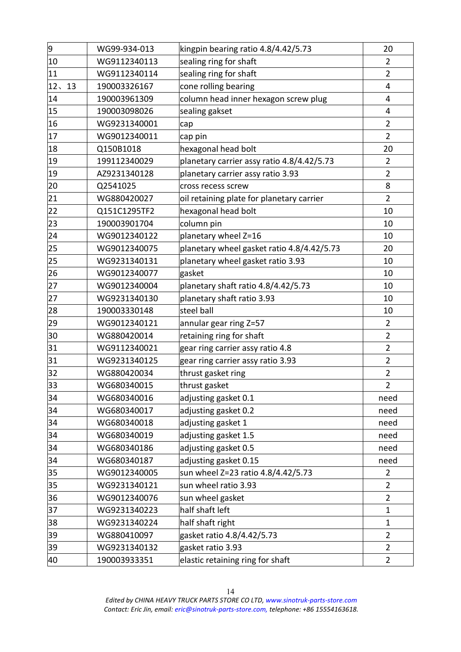| 9            | WG99-934-013 | kingpin bearing ratio 4.8/4.42/5.73        | 20             |
|--------------|--------------|--------------------------------------------|----------------|
| $ 10\rangle$ | WG9112340113 | sealing ring for shaft                     | $\overline{2}$ |
| 11           | WG9112340114 | sealing ring for shaft                     | $\overline{2}$ |
| 12、13        | 190003326167 | cone rolling bearing                       | 4              |
| 14           | 190003961309 | column head inner hexagon screw plug       | 4              |
| 15           | 190003098026 | sealing gakset                             | 4              |
| 16           | WG9231340001 | cap                                        | $\overline{2}$ |
| 17           | WG9012340011 | cap pin                                    | $\overline{2}$ |
| 18           | Q150B1018    | hexagonal head bolt                        | 20             |
| $ 19\rangle$ | 199112340029 | planetary carrier assy ratio 4.8/4.42/5.73 | $\overline{2}$ |
| $ 19\rangle$ | AZ9231340128 | planetary carrier assy ratio 3.93          | $\overline{2}$ |
| 20           | Q2541025     | cross recess screw                         | 8              |
| 21           | WG880420027  | oil retaining plate for planetary carrier  | $\overline{2}$ |
| 22           | Q151C1295TF2 | hexagonal head bolt                        | 10             |
| 23           | 190003901704 | column pin                                 | 10             |
| 24           | WG9012340122 | planetary wheel Z=16                       | 10             |
| $ 25\rangle$ | WG9012340075 | planetary wheel gasket ratio 4.8/4.42/5.73 | 20             |
| 25           | WG9231340131 | planetary wheel gasket ratio 3.93          | 10             |
| 26           | WG9012340077 | gasket                                     | 10             |
| 27           | WG9012340004 | planetary shaft ratio 4.8/4.42/5.73        | 10             |
| 27           | WG9231340130 | planetary shaft ratio 3.93                 | 10             |
| 28           | 190003330148 | steel ball                                 | 10             |
| 29           | WG9012340121 | annular gear ring Z=57                     | 2              |
| 30           | WG880420014  | retaining ring for shaft                   | $\overline{2}$ |
| 31           | WG9112340021 | gear ring carrier assy ratio 4.8           | $\overline{2}$ |
| 31           | WG9231340125 | gear ring carrier assy ratio 3.93          | $\overline{2}$ |
| 32           | WG880420034  | thrust gasket ring                         | $\overline{2}$ |
| $ 33\rangle$ | WG680340015  | thrust gasket                              | $\overline{2}$ |
| 34           | WG680340016  | adjusting gasket 0.1                       | need           |
| 34           | WG680340017  | adjusting gasket 0.2                       | need           |
| 34           | WG680340018  | adjusting gasket 1                         | need           |
| 34           | WG680340019  | adjusting gasket 1.5                       | need           |
| 34           | WG680340186  | adjusting gasket 0.5                       | need           |
| 34           | WG680340187  | adjusting gasket 0.15                      | need           |
| 35           | WG9012340005 | sun wheel Z=23 ratio 4.8/4.42/5.73         | $\overline{2}$ |
| 35           | WG9231340121 | sun wheel ratio 3.93                       | $\overline{2}$ |
| 36           | WG9012340076 | sun wheel gasket                           | $\overline{2}$ |
| 37           | WG9231340223 | half shaft left                            | $\mathbf{1}$   |
| 38           | WG9231340224 | half shaft right                           | $\mathbf{1}$   |
| 39           | WG880410097  | gasket ratio 4.8/4.42/5.73                 | $\overline{2}$ |
| 39           | WG9231340132 | gasket ratio 3.93                          | $\overline{2}$ |
| 40           | 190003933351 | elastic retaining ring for shaft           | $\overline{2}$ |
|              |              |                                            |                |